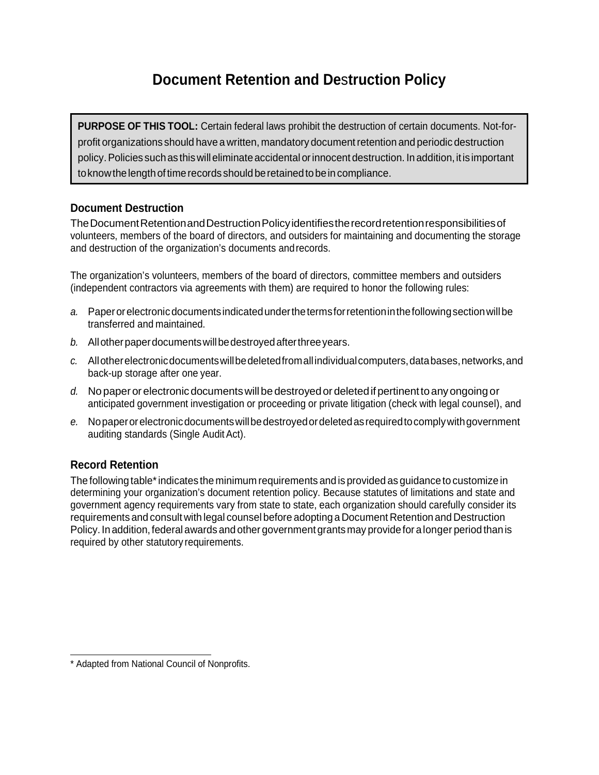## **Document Retention and De**s**truction Policy**

**PURPOSE OF THIS TOOL:** Certain federal laws prohibit the destruction of certain documents. Not-forprofit organizations should have a written, mandatory documentretention and periodic destruction policy.Policies suchas thiswilleliminateaccidental orinnocent destruction. Inaddition,itisimportant to know the length of time records should be retained to be in compliance.

## **Document Destruction**

The Document Retention and Destruction Policy identifies the record retention responsibilities of volunteers, members of the board of directors, and outsiders for maintaining and documenting the storage and destruction of the organization's documents andrecords.

The organization's volunteers, members of the board of directors, committee members and outsiders (independent contractors via agreements with them) are required to honor the following rules:

- *a.* Paperorelectronicdocumentsindicatedunderthetermsforretentioninthefollowingsectionwillbe transferred and maintained.
- b. All other paper documents will be destroyed after three years.
- *c.* Allotherelectronicdocumentswillbedeletedfromallindividualcomputers,databases,networks,and back-up storage after one year.
- *d.* No paperor electronicdocumentswillbe destroyedordeletedifpertinenttoanyongoing or anticipated government investigation or proceeding or private litigation (check with legal counsel), and
- *e.* Nopaperorelectronicdocumentswillbedestroyedordeletedasrequiredtocomplywithgovernment auditing standards (Single Audit Act).

## **Record Retention**

The following table\* indicates the minimum requirements and is provided as guidance to customize in determining your organization's document retention policy. Because statutes of limitations and state and government agency requirements vary from state to state, each organization should carefully consider its requirements and consult with legal counsel before adopting a Document Retention and Destruction Policy. In addition, federal awards and other government grants may provide for a longer period than is required by other statutory requirements.

<sup>\*</sup> Adapted from National Council of Nonprofits.